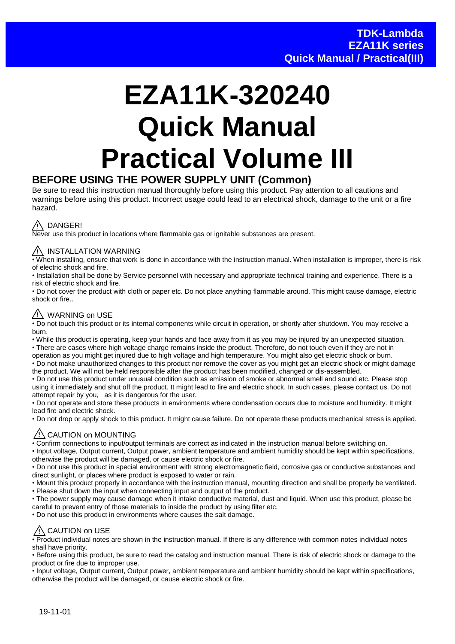# **EZA11K-320240 Quick Manual Practical Volume III**

#### **BEFORE USING THE POWER SUPPLY UNIT (Common)**

Be sure to read this instruction manual thoroughly before using this product. Pay attention to all cautions and warnings before using this product. Incorrect usage could lead to an electrical shock, damage to the unit or a fire hazard.



Never use this product in locations where flammable gas or ignitable substances are present.

#### / INSTALLATION WARNING

• When installing, ensure that work is done in accordance with the instruction manual. When installation is improper, there is risk of electric shock and fire.

• Installation shall be done by Service personnel with necessary and appropriate technical training and experience. There is a risk of electric shock and fire.

• Do not cover the product with cloth or paper etc. Do not place anything flammable around. This might cause damage, electric shock or fire.

#### $\sqrt{N}$  WARNING on USE

• Do not touch this product or its internal components while circuit in operation, or shortly after shutdown. You may receive a burn.

• While this product is operating, keep your hands and face away from it as you may be injured by an unexpected situation. • There are cases where high voltage charge remains inside the product. Therefore, do not touch even if they are not in operation as you might get injured due to high voltage and high temperature. You might also get electric shock or burn.

• Do not make unauthorized changes to this product nor remove the cover as you might get an electric shock or might damage the product. We will not be held responsible after the product has been modified, changed or dis-assembled.

• Do not use this product under unusual condition such as emission of smoke or abnormal smell and sound etc. Please stop using it immediately and shut off the product. It might lead to fire and electric shock. In such cases, please contact us. Do not attempt repair by you, as it is dangerous for the user.

• Do not operate and store these products in environments where condensation occurs due to moisture and humidity. It might lead fire and electric shock.

• Do not drop or apply shock to this product. It might cause failure. Do not operate these products mechanical stress is applied.

#### $\sqrt{N}$  CAUTION on MOUNTING

• Confirm connections to input/output terminals are correct as indicated in the instruction manual before switching on.

• Input voltage, Output current, Output power, ambient temperature and ambient humidity should be kept within specifications, otherwise the product will be damaged, or cause electric shock or fire.

• Do not use this product in special environment with strong electromagnetic field, corrosive gas or conductive substances and direct sunlight, or places where product is exposed to water or rain.

• Mount this product properly in accordance with the instruction manual, mounting direction and shall be properly be ventilated. • Please shut down the input when connecting input and output of the product.

• The power supply may cause damage when it intake conductive material, dust and liquid. When use this product, please be careful to prevent entry of those materials to inside the product by using filter etc.

• Do not use this product in environments where causes the salt damage.

### / CAUTION on USE

• Product individual notes are shown in the instruction manual. If there is any difference with common notes individual notes shall have priority.

• Before using this product, be sure to read the catalog and instruction manual. There is risk of electric shock or damage to the product or fire due to improper use.

• Input voltage, Output current, Output power, ambient temperature and ambient humidity should be kept within specifications, otherwise the product will be damaged, or cause electric shock or fire.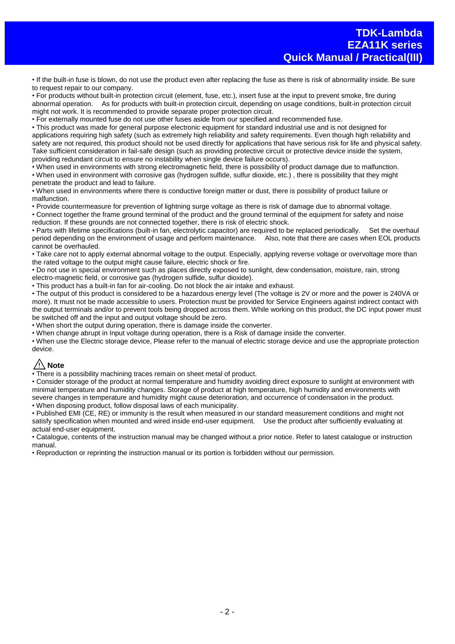• If the built-in fuse is blown, do not use the product even after replacing the fuse as there is risk of abnormality inside. Be sure to request repair to our company.

• For products without built-in protection circuit (element, fuse, etc.), insert fuse at the input to prevent smoke, fire during abnormal operation. As for products with built-in protection circuit, depending on usage conditions, built-in protection circuit might not work. It is recommended to provide separate proper protection circuit.

• For externally mounted fuse do not use other fuses aside from our specified and recommended fuse.

• This product was made for general purpose electronic equipment for standard industrial use and is not designed for applications requiring high safety (such as extremely high reliability and safety requirements. Even though high reliability and safety are not required, this product should not be used directly for applications that have serious risk for life and physical safety. Take sufficient consideration in fail-safe design (such as providing protective circuit or protective device inside the system, providing redundant circuit to ensure no instability when single device failure occurs).

• When used in environments with strong electromagnetic field, there is possibility of product damage due to malfunction. • When used in environment with corrosive gas (hydrogen sulfide, sulfur dioxide, etc.) , there is possibility that they might penetrate the product and lead to failure.

• When used in environments where there is conductive foreign matter or dust, there is possibility of product failure or malfunction.

• Provide countermeasure for prevention of lightning surge voltage as there is risk of damage due to abnormal voltage. • Connect together the frame ground terminal of the product and the ground terminal of the equipment for safety and noise reduction. If these grounds are not connected together, there is risk of electric shock.

• Parts with lifetime specifications (built-in fan, electrolytic capacitor) are required to be replaced periodically. Set the overhaul period depending on the environment of usage and perform maintenance. Also, note that there are cases when EOL products cannot be overhauled.

• Take care not to apply external abnormal voltage to the output. Especially, applying reverse voltage or overvoltage more than the rated voltage to the output might cause failure, electric shock or fire.

• Do not use in special environment such as places directly exposed to sunlight, dew condensation, moisture, rain, strong electro-magnetic field, or corrosive gas (hydrogen sulfide, sulfur dioxide).

• This product has a built-in fan for air-cooling. Do not block the air intake and exhaust.

• The output of this product is considered to be a hazardous energy level (The voltage is 2V or more and the power is 240VA or more). It must not be made accessible to users. Protection must be provided for Service Engineers against indirect contact with the output terminals and/or to prevent tools being dropped across them. While working on this product, the DC input power must be switched off and the input and output voltage should be zero.

• When short the output during operation, there is damage inside the converter.

• When change abrupt in Input voltage during operation, there is a Risk of damage inside the converter.

• When use the Electric storage device, Please refer to the manual of electric storage device and use the appropriate protection device.

#### **Note**

• There is a possibility machining traces remain on sheet metal of product.

• Consider storage of the product at normal temperature and humidity avoiding direct exposure to sunlight at environment with minimal temperature and humidity changes. Storage of product at high temperature, high humidity and environments with severe changes in temperature and humidity might cause deterioration, and occurrence of condensation in the product.

• When disposing product, follow disposal laws of each municipality.

• Published EMI (CE, RE) or immunity is the result when measured in our standard measurement conditions and might not satisfy specification when mounted and wired inside end-user equipment. Use the product after sufficiently evaluating at actual end-user equipment.

• Catalogue, contents of the instruction manual may be changed without a prior notice. Refer to latest catalogue or instruction manual.

• Reproduction or reprinting the instruction manual or its portion is forbidden without our permission.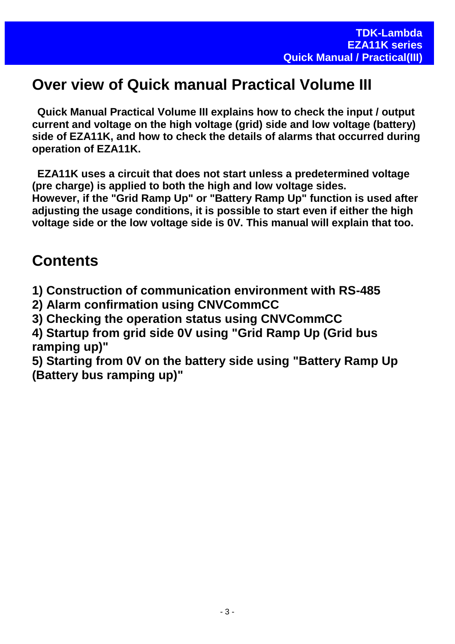# **Over view of Quick manual Practical Volume III**

**Quick Manual Practical Volume III explains how to check the input / output current and voltage on the high voltage (grid) side and low voltage (battery) side of EZA11K, and how to check the details of alarms that occurred during operation of EZA11K.** 

**EZA11K uses a circuit that does not start unless a predetermined voltage (pre charge) is applied to both the high and low voltage sides. However, if the "Grid Ramp Up" or "Battery Ramp Up" function is used after adjusting the usage conditions, it is possible to start even if either the high voltage side or the low voltage side is 0V. This manual will explain that too.**

# **Contents**

**1) Construction of communication environment with RS-485**

**2) Alarm confirmation using CNVCommCC**

**3) Checking the operation status using CNVCommCC**

**4) Startup from grid side 0V using "Grid Ramp Up (Grid bus ramping up)"**

**5) Starting from 0V on the battery side using "Battery Ramp Up (Battery bus ramping up)"**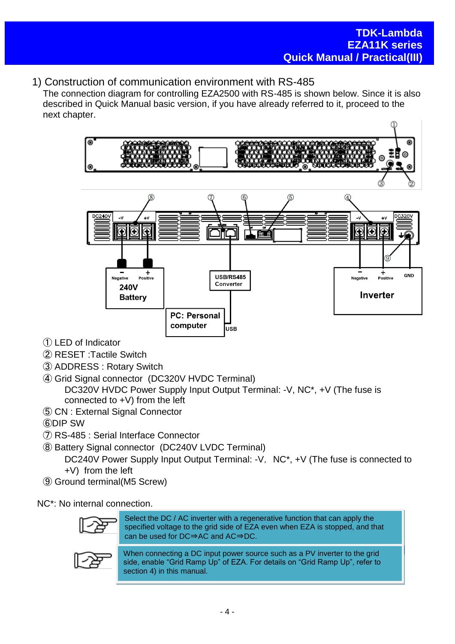#### 1) Construction of communication environment with RS-485

The connection diagram for controlling EZA2500 with RS-485 is shown below. Since it is also described in Quick Manual basic version, if you have already referred to it, proceed to the next chapter.



- ① LED of Indicator
- ② RESET :Tactile Switch
- ③ ADDRESS : Rotary Switch
- ④ Grid Signal connector (DC320V HVDC Terminal) DC320V HVDC Power Supply Input Output Terminal: -V, NC\*, +V (The fuse is connected to +V) from the left
- ⑤ CN : External Signal Connector
- ⑥DIP SW
- ⑦ RS-485 : Serial Interface Connector
- ⑧ Battery Signal connector (DC240V LVDC Terminal) DC240V Power Supply Input Output Terminal: -V. NC<sup>\*</sup>, +V (The fuse is connected to +V) from the left
- ⑨ Ground terminal(M5 Screw)

NC\*: No internal connection.



Select the DC / AC inverter with a regenerative function that can apply the specified voltage to the grid side of EZA even when EZA is stopped, and that can be used for DC⇒AC and AC⇒DC.



When connecting a DC input power source such as a PV inverter to the grid side, enable "Grid Ramp Up" of EZA. For details on "Grid Ramp Up", refer to section 4) in this manual.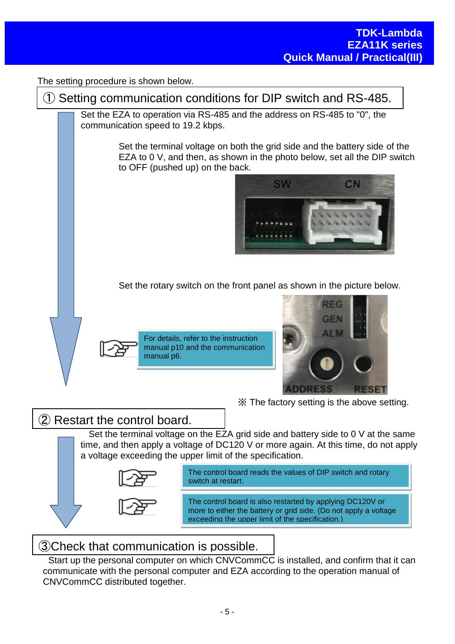The setting procedure is shown below.

① Setting communication conditions for DIP switch and RS-485.

Set the EZA to operation via RS-485 and the address on RS-485 to "0", the communication speed to 19.2 kbps.

> Set the terminal voltage on both the grid side and the battery side of the EZA to 0 V, and then, as shown in the photo below, set all the DIP switch to OFF (pushed up) on the back.



Set the rotary switch on the front panel as shown in the picture below.





※ The factory setting is the above setting.

## ② Restart the control board.

Set the terminal voltage on the EZA grid side and battery side to 0 V at the same time, and then apply a voltage of DC120 V or more again. At this time, do not apply a voltage exceeding the upper limit of the specification.



The control board reads the values of DIP switch and rotary switch at restart.

The control board is also restarted by applying DC120V or more to either the battery or grid side. (Do not apply a voltage exceeding the upper limit of the specification.)

## ③Check that communication is possible.

Start up the personal computer on which CNVCommCC is installed, and confirm that it can communicate with the personal computer and EZA according to the operation manual of CNVCommCC distributed together.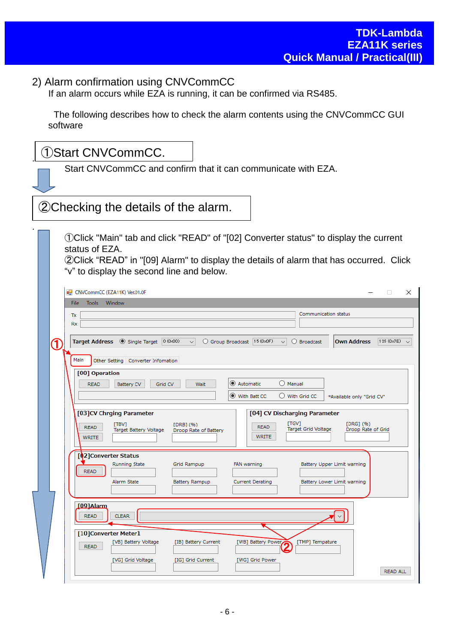#### 2) Alarm confirmation using CNVCommCC

If an alarm occurs while EZA is running, it can be confirmed via RS485.

The following describes how to check the alarm contents using the CNVCommCC GUI software

| 1)Start CNVCommCC.                                                                                                                                                                                                                                                       |  |  |  |  |  |
|--------------------------------------------------------------------------------------------------------------------------------------------------------------------------------------------------------------------------------------------------------------------------|--|--|--|--|--|
| Start CNVCommCC and confirm that it can communicate with EZA.                                                                                                                                                                                                            |  |  |  |  |  |
| 2. Checking the details of the alarm.                                                                                                                                                                                                                                    |  |  |  |  |  |
| 10 Olick "Main" tab and click "READ" of "[02] Converter status" to display the current<br>status of EZA.<br>2 Click "READ" in "[09] Alarm" to display the details of alarm that has occurred. Click<br>"v" to display the second line and below.                         |  |  |  |  |  |
| CNVCommCC (EZA11K) Ver.01.0F<br>$\Box$<br>$\times$                                                                                                                                                                                                                       |  |  |  |  |  |
| Window<br>File<br><b>Tools</b><br>Communication status<br>Tx<br><b>Rx</b>                                                                                                                                                                                                |  |  |  |  |  |
| Target Address © Single Target 0 (0x00)<br><b>Own Address</b><br>126 (0x7E)<br>Group Broadcast   15 (0x0F)<br>◯ Broadcast<br>$\checkmark$<br>$\checkmark$<br><b>J</b><br>Main<br>Other Setting   Converter Infomation                                                    |  |  |  |  |  |
| [00] Operation<br>Automatic<br>$\bigcirc$ Manual<br><b>READ</b><br>Battery CV<br>Grid CV<br>Wait<br>● With Batt CC<br>$\bigcirc$ With Grid CC<br>*Available only "Grid CV"                                                                                               |  |  |  |  |  |
| [03]CV Chrging Parameter<br>[04] CV Discharging Parameter<br>[TGV]<br>[DRG] (%)<br>[TBV]<br>$[DRB]$ $(96)$<br><b>READ</b><br><b>READ</b><br>Target Grid Voltage<br>Target Battery Voltage<br>Droop Rate of Grid<br>Droop Rate of Battery<br><b>WRITE</b><br><b>WRITE</b> |  |  |  |  |  |
| [02] Converter Status<br>Running State<br>Grid Rampup<br>Battery Upper Limit warning<br>FAN warning<br><b>READ</b><br>Alarm State<br>Current Derating<br>Battery Lower Limit warning<br>Battery Rampup                                                                   |  |  |  |  |  |
| [09]Alarm<br><b>READ</b><br><b>CLEAR</b>                                                                                                                                                                                                                                 |  |  |  |  |  |
| [10]Converter Meter1<br>[VB] Battery Voltage<br>[IB] Battery Current<br>[WB] Battery Power<br>[TMP] Tempature<br><b>READ</b>                                                                                                                                             |  |  |  |  |  |
| [VG] Grid Voltage<br>[WG] Grid Power<br>[IG] Grid Current<br>READ ALL                                                                                                                                                                                                    |  |  |  |  |  |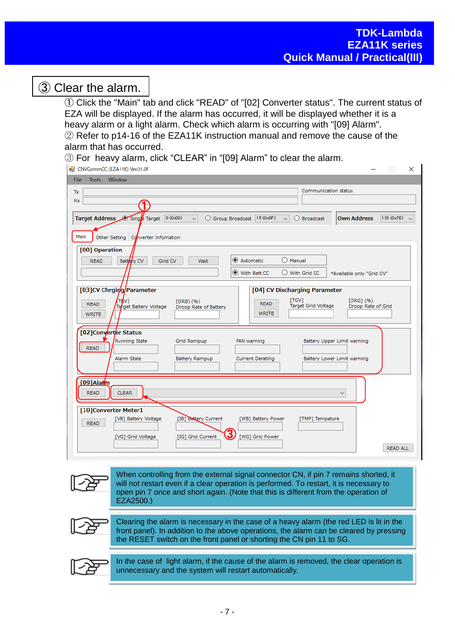# ③ Clear the alarm.

① Click the "Main" tab and click "READ" of "[02] Converter status". The current status of EZA will be displayed. If the alarm has occurred, it will be displayed whether it is a heavy alarm or a light alarm. Check which alarm is occurring with "[09] Alarm". ② Refer to p14-16 of the EZA11K instruction manual and remove the cause of the alarm that has occurred.

③ For heavy alarm, click "CLEAR" in "[09] Alarm" to clear the alarm.

| CNVCommCC (EZA11K) Ver.01.0F                                                                                                                                                                                                    | П<br>$\times$              |  |  |
|---------------------------------------------------------------------------------------------------------------------------------------------------------------------------------------------------------------------------------|----------------------------|--|--|
| Window<br><b>Tools</b><br><b>File</b>                                                                                                                                                                                           |                            |  |  |
| Communication status<br>Tx                                                                                                                                                                                                      |                            |  |  |
| <b>Rx</b>                                                                                                                                                                                                                       |                            |  |  |
| Target Address Sing Farget<br>$ 0(0 \times 00) $<br><b>Own Address</b><br>Group Broadcast  15 (0x0F)<br>О<br>$\bigcirc$ Broadcast<br>$\checkmark$<br>$\vee$                                                                     | 126 $(0 \times 7E)$ $\vee$ |  |  |
| Main<br>Other Setting   Converter Infomation                                                                                                                                                                                    |                            |  |  |
| [00] Operation                                                                                                                                                                                                                  |                            |  |  |
| C Automatic<br>$O$ Manual<br>Battery $CV$<br>Grid CV<br>Wait<br><b>READ</b>                                                                                                                                                     |                            |  |  |
| With Batt CC<br>$\bigcirc$ With Grid CC<br>*Available only "Grid CV"                                                                                                                                                            |                            |  |  |
| [03]CV Chrging Parameter<br>[04] CV Discharging Parameter<br>[TGV]<br>$[DRG]$ $(96)$<br>[DRB] (%)<br><b>READ</b><br><b>READ</b><br>Target Grid Voltage<br>Droop Rate of Grid<br>Target Battery Voltage<br>Droop Rate of Battery |                            |  |  |
| <b>WRITE</b><br><b>WRITE</b>                                                                                                                                                                                                    |                            |  |  |
| [02]Converter Status<br>Running State<br>Grid Rampup<br>FAN warning<br>Battery Upper Limit warning<br><b>READ</b><br>Alarm State<br>Battery Rampup<br><b>Current Derating</b><br>Battery Lower Limit warning                    |                            |  |  |
| [09]Alarn<br><b>READ</b><br><b>CLEAR</b><br>$\checkmark$                                                                                                                                                                        |                            |  |  |
| [10]Converter Meter1<br>[IB] Battery Current<br>[VB] Battery Voltage<br>[WB] Battery Power<br>[TMP] Tempature<br><b>READ</b><br>3<br>[IG] Grid Current<br>[WG] Grid Power<br>[VG] Grid Voltage                                  |                            |  |  |
|                                                                                                                                                                                                                                 | <b>READ ALL</b>            |  |  |

When controlling from the external signal connector CN, if pin 7 remains shorted, it will not restart even if a clear operation is performed. To restart, it is necessary to open pin 7 once and short again. (Note that this is different from the operation of EZA2500.) Clearing the alarm is necessary in the case of a heavy alarm (the red LED is lit in the front panel). In addition to the above operations, the alarm can be cleared by pressing the RESET switch on the front panel or shorting the CN pin 11 to SG. In the case of light alarm, if the cause of the alarm is removed, the clear operation is unnecessary and the system will restart automatically.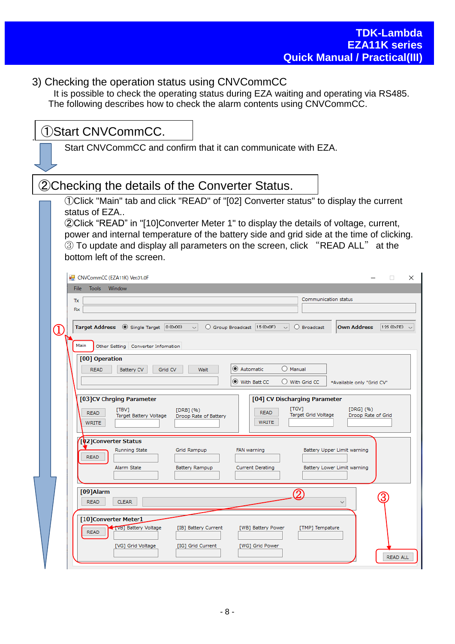# 3) Checking the operation status using CNVCommCC

It is possible to check the operating status during EZA waiting and operating via RS485. The following describes how to check the alarm contents using CNVCommCC.

| 1)Start CNVCommCC.                                                                                                                                                               |
|----------------------------------------------------------------------------------------------------------------------------------------------------------------------------------|
| Start CNVCommCC and confirm that it can communicate with EZA.                                                                                                                    |
|                                                                                                                                                                                  |
| 2) Checking the details of the Converter Status.                                                                                                                                 |
| 10 OClick "Main" tab and click "READ" of "[02] Converter status" to display the current<br>status of EZA                                                                         |
| (2) Click "READ" in "[10] Converter Meter 1" to display the details of voltage, current,                                                                                         |
| power and internal temperature of the battery side and grid side at the time of clicking.<br>3) To update and display all parameters on the screen, click "READ ALL" at the      |
| bottom left of the screen.                                                                                                                                                       |
| CNVCommCC (EZA11K) Ver.01.0F<br>×<br>0                                                                                                                                           |
| <b>Tools</b><br>Window<br>File                                                                                                                                                   |
| Communication status<br>Tx                                                                                                                                                       |
| <b>Rx</b>                                                                                                                                                                        |
| Target Address $\bullet$ Single Target $\vert$ 0 (0 x 0 0)<br>Group Broadcast 15 (0x0F)<br><b>Own Address</b><br>126 (0x7E)<br>O Broadcast<br>$\vee$<br>$\checkmark$<br>(1       |
| Main                                                                                                                                                                             |
| Other Setting   Converter Infomation                                                                                                                                             |
| [00] Operation<br>Automatic<br>() Manual<br>Grid CV<br><b>READ</b><br><b>Battery CV</b><br>Wait                                                                                  |
| ◉ With Batt CC<br>$\bigcirc$ With Grid CC<br>*Available only "Grid CV"                                                                                                           |
|                                                                                                                                                                                  |
| [03]CV Chrging Parameter<br>[04] CV Discharging Parameter                                                                                                                        |
| [TGV]<br>$[DRG]$ $(96)$<br>[TBV]<br>$[DRB]$ $(96)$<br><b>READ</b><br><b>READ</b><br>Target Grid Voltage<br>Droop Rate of Grid<br>Target Battery Voltage<br>Droop Rate of Battery |
| <b>WRITE</b><br><b>WRITE</b>                                                                                                                                                     |
| [02]Converter Status                                                                                                                                                             |
| Running State<br>Grid Rampup<br>FAN warning<br>Battery Upper Limit warning                                                                                                       |
| <b>READ</b>                                                                                                                                                                      |
| Alarm State<br><b>Current Derating</b><br>Battery Lower Limit warning<br>Battery Rampup                                                                                          |
|                                                                                                                                                                                  |
| $[09]$ Alarm<br>2<br><b>READ</b><br><b>CLEAR</b>                                                                                                                                 |
| $\checkmark$                                                                                                                                                                     |
| [10]Converter Meter1                                                                                                                                                             |
| <b>TVB</b> Battery Voltage<br>[WB] Battery Power<br>[IB] Battery Current<br>[TMP] Tempature<br><b>READ</b>                                                                       |
| [VG] Grid Voltage<br>[IG] Grid Current<br>[WG] Grid Power                                                                                                                        |
| READ ALL                                                                                                                                                                         |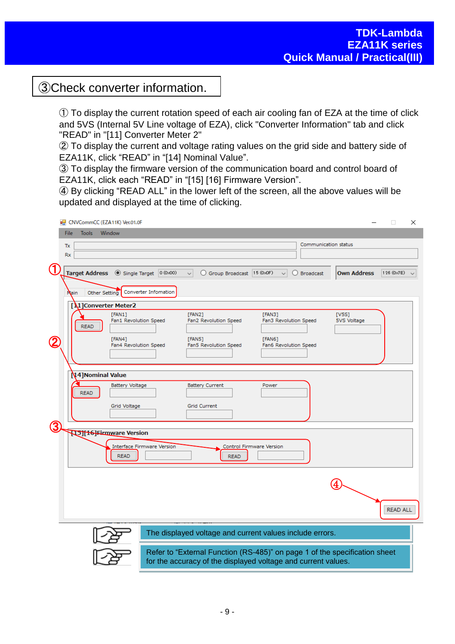# ③Check converter information.

① To display the current rotation speed of each air cooling fan of EZA at the time of click and 5VS (Internal 5V Line voltage of EZA), click "Converter Information" tab and click "READ" in "[11] Converter Meter 2"

② To display the current and voltage rating values on the grid side and battery side of EZA11K, click "READ" in "[14] Nominal Value".

③ To display the firmware version of the communication board and control board of EZA11K, click each "READ" in "[15] [16] Firmware Version".

④ By clicking "READ ALL" in the lower left of the screen, all the above values will be updated and displayed at the time of clicking.

|     | CNVCommCC (EZA11K) Ver.01.0F   |                                                               |                                                                                                                                             |                                 |                      | $\Box$<br>$\times$    |
|-----|--------------------------------|---------------------------------------------------------------|---------------------------------------------------------------------------------------------------------------------------------------------|---------------------------------|----------------------|-----------------------|
|     | <b>Tools</b><br>Window<br>File |                                                               |                                                                                                                                             |                                 |                      |                       |
|     | Tx                             |                                                               |                                                                                                                                             |                                 | Communication status |                       |
|     | Rx                             |                                                               |                                                                                                                                             |                                 |                      |                       |
| (1) |                                |                                                               |                                                                                                                                             |                                 |                      |                       |
|     |                                | Target Address <sup>1</sup> Single Target <sup>0 (0x00)</sup> | O Group Broadcast 15 (0x0F) v<br>$\vee$                                                                                                     | $\bigcirc$ Broadcast            | <b>Own Address</b>   | 126 (0x7E) $\sqrt{ }$ |
|     | Nain                           | Other Setting   Converter Infomation                          |                                                                                                                                             |                                 |                      |                       |
|     | [1] Converter Meter2           |                                                               |                                                                                                                                             |                                 |                      |                       |
|     | <b>READ</b>                    | [FAN1]<br>Fan1 Revolution Speed                               | [FAN2]<br>Fan2 Revolution Speed                                                                                                             | [FAN3]<br>Fan3 Revolution Speed | [V5S]<br>5VS Voltage |                       |
|     |                                | [FAN4]<br>Fan4 Revolution Speed                               | [FAN5]<br>Fan5 Revolution Speed                                                                                                             | [FAN6]<br>Fan6 Revolution Speed |                      |                       |
|     |                                |                                                               |                                                                                                                                             |                                 |                      |                       |
|     | 14] Nominal Value              | <b>Battery Voltage</b>                                        | <b>Battery Current</b>                                                                                                                      | Power                           |                      |                       |
|     | <b>READ</b>                    |                                                               |                                                                                                                                             |                                 |                      |                       |
|     |                                | Grid Voltage                                                  | <b>Grid Current</b>                                                                                                                         |                                 |                      |                       |
| 3   |                                |                                                               |                                                                                                                                             |                                 |                      |                       |
|     | <b>U511+6-Firmware Version</b> |                                                               |                                                                                                                                             |                                 |                      |                       |
|     |                                | <b>Interface Firmware Version</b><br><b>READ</b>              | <b>READ</b>                                                                                                                                 | Control Firmware Version        |                      |                       |
|     |                                |                                                               |                                                                                                                                             |                                 |                      |                       |
|     |                                |                                                               |                                                                                                                                             |                                 |                      |                       |
|     |                                |                                                               |                                                                                                                                             |                                 |                      | <b>READ ALL</b>       |
|     |                                |                                                               | The displayed voltage and current values include errors.                                                                                    |                                 |                      |                       |
|     |                                |                                                               | Refer to "External Function (RS-485)" on page 1 of the specification sheet<br>for the accuracy of the displayed voltage and current values. |                                 |                      |                       |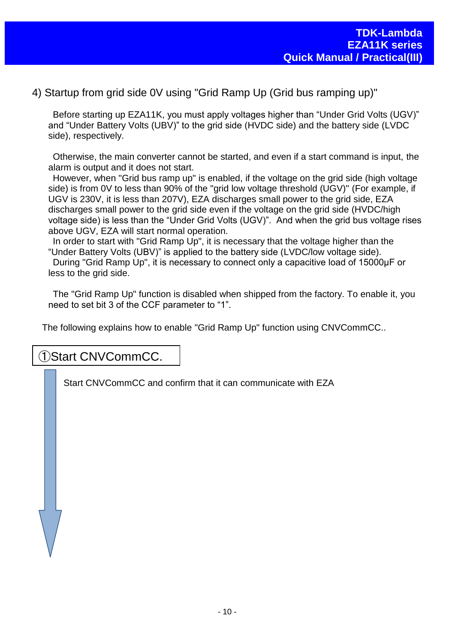4) Startup from grid side 0V using "Grid Ramp Up (Grid bus ramping up)"

Before starting up EZA11K, you must apply voltages higher than "Under Grid Volts (UGV)" and "Under Battery Volts (UBV)" to the grid side (HVDC side) and the battery side (LVDC side), respectively.

Otherwise, the main converter cannot be started, and even if a start command is input, the alarm is output and it does not start.

However, when "Grid bus ramp up" is enabled, if the voltage on the grid side (high voltage side) is from 0V to less than 90% of the "grid low voltage threshold (UGV)" (For example, if UGV is 230V, it is less than 207V), EZA discharges small power to the grid side, EZA discharges small power to the grid side even if the voltage on the grid side (HVDC/high voltage side) is less than the "Under Grid Volts (UGV)". And when the grid bus voltage rises above UGV, EZA will start normal operation.

In order to start with "Grid Ramp Up", it is necessary that the voltage higher than the "Under Battery Volts (UBV)" is applied to the battery side (LVDC/low voltage side). During "Grid Ramp Up", it is necessary to connect only a capacitive load of 15000μF or less to the grid side.

The "Grid Ramp Up" function is disabled when shipped from the factory. To enable it, you need to set bit 3 of the CCF parameter to "1".

The following explains how to enable "Grid Ramp Up" function using CNVCommCC..

#### ①Start CNVCommCC.

Start CNVCommCC and confirm that it can communicate with EZA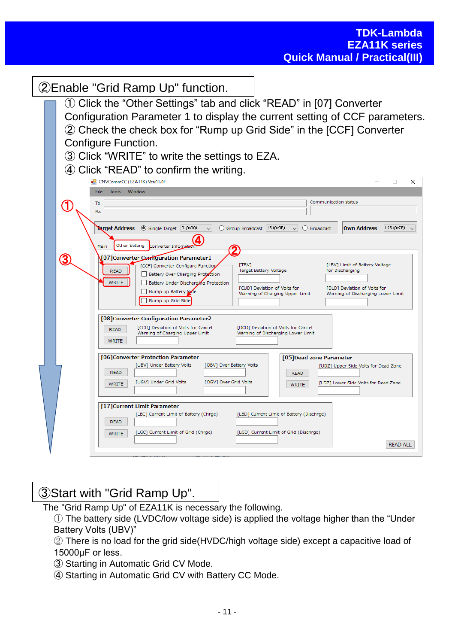| (2) Enable "Grid Ramp Up" function.                                                                                                                                                                                                                                                                                                                                                                                                                                                |
|------------------------------------------------------------------------------------------------------------------------------------------------------------------------------------------------------------------------------------------------------------------------------------------------------------------------------------------------------------------------------------------------------------------------------------------------------------------------------------|
| 1) Click the "Other Settings" tab and click "READ" in [07] Converter<br>Configuration Parameter 1 to display the current setting of CCF parameters.                                                                                                                                                                                                                                                                                                                                |
| 2 Check the check box for "Rump up Grid Side" in the [CCF] Converter<br><b>Configure Function.</b><br>3 Click "WRITE" to write the settings to EZA.                                                                                                                                                                                                                                                                                                                                |
| 4 Click "READ" to confirm the writing.<br>CNVCommCC (EZA11K) Ver.01.0F<br>$\Box$<br>×                                                                                                                                                                                                                                                                                                                                                                                              |
| <b>File</b><br><b>Tools</b><br>Window<br>Communication status<br>Tx<br>Rx                                                                                                                                                                                                                                                                                                                                                                                                          |
| Single Target 0 (0x00)<br><b>Farget Address</b><br>Group Broadcast 15 (0x0F)<br><b>Own Address</b><br>126 (0x7E)<br>◯ Broadcast<br>$\checkmark$<br><b>Other Setting</b><br>Converter Infoma<br>Main                                                                                                                                                                                                                                                                                |
| [07] Converter Configuration Parameter 1<br>3<br>[LBV] Limit of Battery Voltage<br><b>TBV1</b><br>[CCF] Converter Configure Function<br>Target Battery Voltage<br>for Discharging<br><b>READ</b><br>Battery Over Charging Protection<br><b>WRITE</b><br>Battery Under Discharging Protection<br>[CUD] Deviation of Volts for<br>[DLD] Deviation of Volts for<br>Rump up Battery Side<br>Warning of Charging Upper Limit<br>Warning of Discharging Lower Limit<br>Rump up Grid Side |
| [08] Converter Configuration Parameter2<br>[CCD] Deviation of Volts for Cancel<br>[DCD] Deviation of Volts for Cancel<br><b>READ</b><br>Warning of Charging Upper Limit<br>Warning of Discharging Lower Limit<br><b>WRITE</b>                                                                                                                                                                                                                                                      |
| [06] Converter Protection Parameter<br>[05] Dead zone Parameter<br><b>[UBV] Under Battery Volts</b><br>[OBV] Over Battery Volts<br>[UDZ] Upper Side Volts for Dead Zone<br><b>READ</b><br><b>READ</b><br>[UGV] Under Grid Volts<br>[OGV] Over Grid Volts<br>[LDZ] Lower Side Volts for Dead Zone<br><b>WRITE</b><br><b>WRITE</b>                                                                                                                                                   |
| [17] Current Limit Parameter<br>[LBC] Current Limit of Battery (Chrge)<br>[LBD] Current Limit of Battery (Dischrge)<br><b>READ</b><br>[LGC] Current Limit of Grid (Chrge)<br>[LGD] Current Limit of Grid (Dischrge)<br><b>WRITE</b><br><b>READ ALL</b>                                                                                                                                                                                                                             |
|                                                                                                                                                                                                                                                                                                                                                                                                                                                                                    |

# ③Start with "Grid Ramp Up".

The "Grid Ramp Up" of EZA11K is necessary the following.

- ① The battery side (LVDC/low voltage side) is applied the voltage higher than the "Under Battery Volts (UBV)"
- ② There is no load for the grid side(HVDC/high voltage side) except a capacitive load of 15000μF or less.
- ③ Starting in Automatic Grid CV Mode.
- ④ Starting in Automatic Grid CV with Battery CC Mode.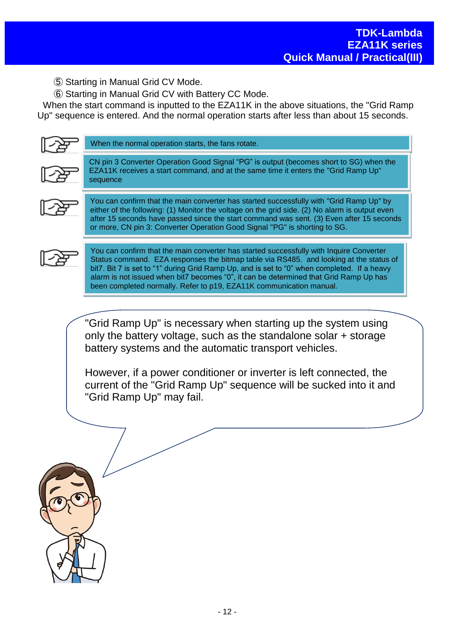⑤ Starting in Manual Grid CV Mode.

⑥ Starting in Manual Grid CV with Battery CC Mode.

When the start command is inputted to the EZA11K in the above situations, the "Grid Ramp Up" sequence is entered. And the normal operation starts after less than about 15 seconds.

| When the normal operation starts, the fans rotate.                                                                                                                                                                                                                                                                                                                        |  |  |  |  |
|---------------------------------------------------------------------------------------------------------------------------------------------------------------------------------------------------------------------------------------------------------------------------------------------------------------------------------------------------------------------------|--|--|--|--|
| CN pin 3 Converter Operation Good Signal "PG" is output (becomes short to SG) when the<br>EZA11K receives a start command, and at the same time it enters the "Grid Ramp Up"<br>sequence                                                                                                                                                                                  |  |  |  |  |
| You can confirm that the main converter has started successfully with "Grid Ramp Up" by<br>either of the following: (1) Monitor the voltage on the grid side. (2) No alarm is output even<br>after 15 seconds have passed since the start command was sent. (3) Even after 15 seconds<br>or more, CN pin 3: Converter Operation Good Signal "PG" is shorting to SG.       |  |  |  |  |
| You can confirm that the main converter has started successfully with Inquire Converter<br>Status command. EZA responses the bitmap table via RS485. and looking at the status of<br>bit7. Bit 7 is set to "1" during Grid Ramp Up, and is set to "0" when completed. If a heavy<br>alarm is not issued when bit7 becomes "0", it can be determined that Grid Ramp Up has |  |  |  |  |

been completed normally. Refer to p19, EZA11K communication manual.

"Grid Ramp Up" is necessary when starting up the system using only the battery voltage, such as the standalone solar + storage battery systems and the automatic transport vehicles.

However, if a power conditioner or inverter is left connected, the current of the "Grid Ramp Up" sequence will be sucked into it and "Grid Ramp Up" may fail.

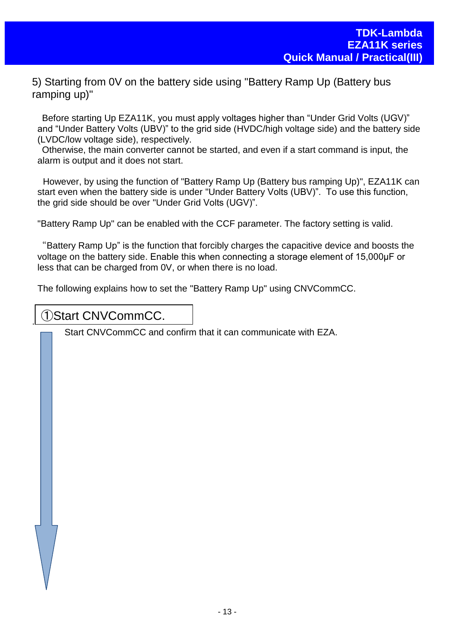5) Starting from 0V on the battery side using "Battery Ramp Up (Battery bus ramping up)"

Before starting Up EZA11K, you must apply voltages higher than "Under Grid Volts (UGV)" and "Under Battery Volts (UBV)" to the grid side (HVDC/high voltage side) and the battery side (LVDC/low voltage side), respectively.

Otherwise, the main converter cannot be started, and even if a start command is input, the alarm is output and it does not start.

However, by using the function of "Battery Ramp Up (Battery bus ramping Up)", EZA11K can start even when the battery side is under "Under Battery Volts (UBV)". To use this function, the grid side should be over "Under Grid Volts (UGV)".

"Battery Ramp Up" can be enabled with the CCF parameter. The factory setting is valid.

"Battery Ramp Up" is the function that forcibly charges the capacitive device and boosts the voltage on the battery side. Enable this when connecting a storage element of 15,000μF or less that can be charged from 0V, or when there is no load.

The following explains how to set the "Battery Ramp Up" using CNVCommCC.

### ①Start CNVCommCC.

.

Start CNVCommCC and confirm that it can communicate with EZA.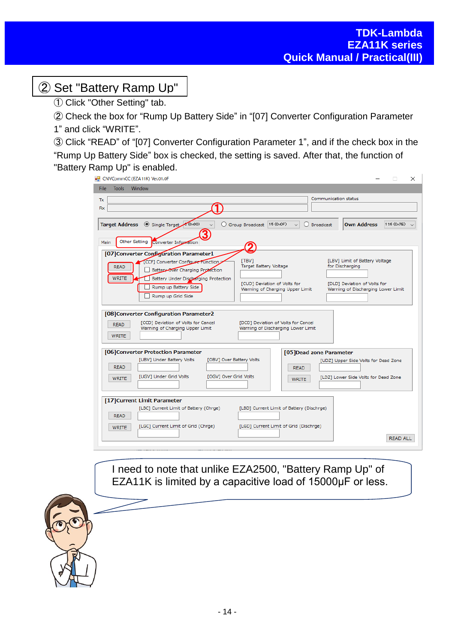# ② Set "Battery Ramp Up"

① Click "Other Setting" tab.

② Check the box for "Rump Up Battery Side" in "[07] Converter Configuration Parameter 1" and click "WRITE".

③ Click "READ" of "[07] Converter Configuration Parameter 1", and if the check box in the "Rump Up Battery Side" box is checked, the setting is saved. After that, the function of "Battery Ramp Up" is enabled.

|                                                            | CNVCommCC (EZA11K) Ver.01.0F                                                                                                                                                                                                                                                                                                                                                                  | $\times$<br>П                                                                                                                                                                                                                           |
|------------------------------------------------------------|-----------------------------------------------------------------------------------------------------------------------------------------------------------------------------------------------------------------------------------------------------------------------------------------------------------------------------------------------------------------------------------------------|-----------------------------------------------------------------------------------------------------------------------------------------------------------------------------------------------------------------------------------------|
| <b>File</b><br><b>Tools</b>                                | Window                                                                                                                                                                                                                                                                                                                                                                                        |                                                                                                                                                                                                                                         |
| Tx<br>Rx                                                   |                                                                                                                                                                                                                                                                                                                                                                                               | Communication status                                                                                                                                                                                                                    |
| <b>Target Address</b><br>Main                              | Single Target 0x00)<br>Group Broadcast 15 (0x0F)<br><b>Other Setting</b><br>Converter Information                                                                                                                                                                                                                                                                                             | <b>Own Address</b><br>126 (0x7E)<br>O Broadcast<br>$\checkmark$                                                                                                                                                                         |
| <b>READ</b><br><b>WRITE</b><br><b>READ</b><br><b>WRITE</b> | [07] Converter Configuration Parameter1<br>[TBV]<br>CCF1 Converter Configure Function<br>Target Battery Voltage<br>Battery Over Charging Protection<br>Battery Under Discharging Protection<br>[CUD] Deviation of Volts for<br>Rump up Battery Side<br>Rump up Grid Side<br>[08] Converter Configuration Parameter2<br>[CCD] Deviation of Volts for Cancel<br>Warning of Charging Upper Limit | [LBV] Limit of Battery Voltage<br>for Discharging<br>[DLD] Deviation of Volts for<br>Warning of Charging Upper Limit<br>Warning of Discharging Lower Limit<br>[DCD] Deviation of Volts for Cancel<br>Warning of Discharging Lower Limit |
| <b>READ</b><br><b>WRITE</b>                                | [06] Converter Protection Parameter<br>[UBV] Under Battery Volts<br>[OBV] Over Battery Volts<br>[UGV] Under Grid Volts<br>[OGV] Over Grid Volts                                                                                                                                                                                                                                               | [05] Dead zone Parameter<br>[UDZ] Upper Side Volts for Dead Zone<br><b>READ</b><br>[LDZ] Lower Side Volts for Dead Zone<br><b>WRITE</b>                                                                                                 |
| <b>READ</b><br><b>WRITE</b>                                | [17] Current Limit Parameter<br>[LBC] Current Limit of Battery (Chrge)<br>[LGC] Current Limit of Grid (Chrge)                                                                                                                                                                                                                                                                                 | [LBD] Current Limit of Battery (Dischrge)<br>[LGD] Current Limit of Grid (Dischrge)                                                                                                                                                     |

I need to note that unlike EZA2500, "Battery Ramp Up" of EZA11K is limited by a capacitive load of 15000μF or less.